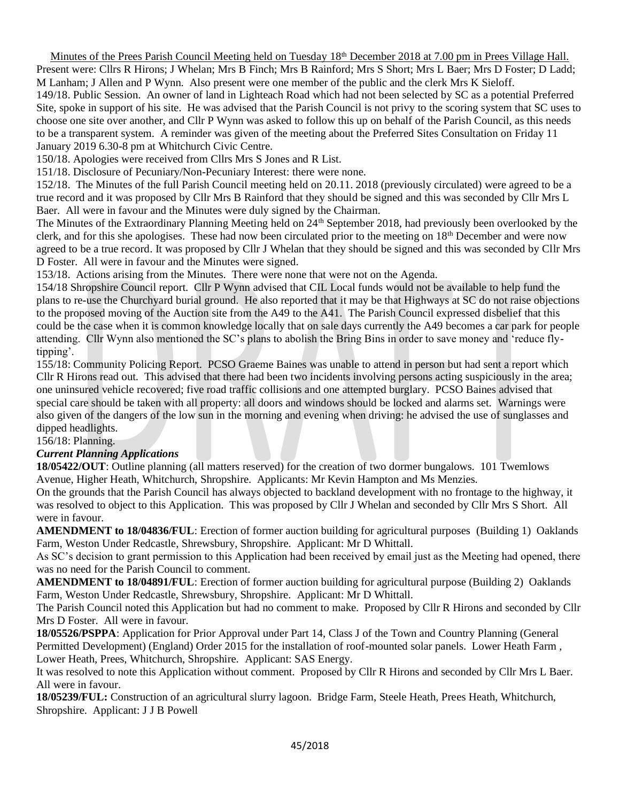Minutes of the Prees Parish Council Meeting held on Tuesday 18<sup>th</sup> December 2018 at 7.00 pm in Prees Village Hall. Present were: Cllrs R Hirons; J Whelan; Mrs B Finch; Mrs B Rainford; Mrs S Short; Mrs L Baer; Mrs D Foster; D Ladd; M Lanham; J Allen and P Wynn. Also present were one member of the public and the clerk Mrs K Sieloff. 149/18. Public Session. An owner of land in Lighteach Road which had not been selected by SC as a potential Preferred Site, spoke in support of his site. He was advised that the Parish Council is not privy to the scoring system that SC uses to choose one site over another, and Cllr P Wynn was asked to follow this up on behalf of the Parish Council, as this needs to be a transparent system. A reminder was given of the meeting about the Preferred Sites Consultation on Friday 11 January 2019 6.30-8 pm at Whitchurch Civic Centre.

150/18. Apologies were received from Cllrs Mrs S Jones and R List.

151/18. Disclosure of Pecuniary/Non-Pecuniary Interest: there were none.

152/18. The Minutes of the full Parish Council meeting held on 20.11. 2018 (previously circulated) were agreed to be a true record and it was proposed by Cllr Mrs B Rainford that they should be signed and this was seconded by Cllr Mrs L Baer. All were in favour and the Minutes were duly signed by the Chairman.

The Minutes of the Extraordinary Planning Meeting held on 24<sup>th</sup> September 2018, had previously been overlooked by the clerk, and for this she apologises. These had now been circulated prior to the meeting on  $18<sup>th</sup>$  December and were now agreed to be a true record. It was proposed by Cllr J Whelan that they should be signed and this was seconded by Cllr Mrs D Foster. All were in favour and the Minutes were signed.

153/18. Actions arising from the Minutes. There were none that were not on the Agenda.

154/18 Shropshire Council report. Cllr P Wynn advised that CIL Local funds would not be available to help fund the plans to re-use the Churchyard burial ground. He also reported that it may be that Highways at SC do not raise objections to the proposed moving of the Auction site from the A49 to the A41. The Parish Council expressed disbelief that this could be the case when it is common knowledge locally that on sale days currently the A49 becomes a car park for people attending. Cllr Wynn also mentioned the SC's plans to abolish the Bring Bins in order to save money and 'reduce flytipping'.

155/18: Community Policing Report. PCSO Graeme Baines was unable to attend in person but had sent a report which Cllr R Hirons read out. This advised that there had been two incidents involving persons acting suspiciously in the area; one uninsured vehicle recovered; five road traffic collisions and one attempted burglary. PCSO Baines advised that special care should be taken with all property: all doors and windows should be locked and alarms set. Warnings were also given of the dangers of the low sun in the morning and evening when driving: he advised the use of sunglasses and dipped headlights.

156/18: Planning.

### *Current Planning Applications*

**18/05422/OUT**: Outline planning (all matters reserved) for the creation of two dormer bungalows. 101 Twemlows Avenue, Higher Heath, Whitchurch, Shropshire. Applicants: Mr Kevin Hampton and Ms Menzies.

On the grounds that the Parish Council has always objected to backland development with no frontage to the highway, it was resolved to object to this Application. This was proposed by Cllr J Whelan and seconded by Cllr Mrs S Short. All were in favour.

**AMENDMENT to 18/04836/FUL**: Erection of former auction building for agricultural purposes (Building 1) Oaklands Farm, Weston Under Redcastle, Shrewsbury, Shropshire. Applicant: Mr D Whittall.

As SC's decision to grant permission to this Application had been received by email just as the Meeting had opened, there was no need for the Parish Council to comment.

**AMENDMENT to 18/04891/FUL**: Erection of former auction building for agricultural purpose (Building 2) Oaklands Farm, Weston Under Redcastle, Shrewsbury, Shropshire. Applicant: Mr D Whittall.

The Parish Council noted this Application but had no comment to make. Proposed by Cllr R Hirons and seconded by Cllr Mrs D Foster. All were in favour.

**18/05526/PSPPA**: Application for Prior Approval under Part 14, Class J of the Town and Country Planning (General Permitted Development) (England) Order 2015 for the installation of roof-mounted solar panels. Lower Heath Farm , Lower Heath, Prees, Whitchurch, Shropshire. Applicant: SAS Energy.

It was resolved to note this Application without comment. Proposed by Cllr R Hirons and seconded by Cllr Mrs L Baer. All were in favour.

**18/05239/FUL:** Construction of an agricultural slurry lagoon. Bridge Farm, Steele Heath, Prees Heath, Whitchurch, Shropshire. Applicant: J J B Powell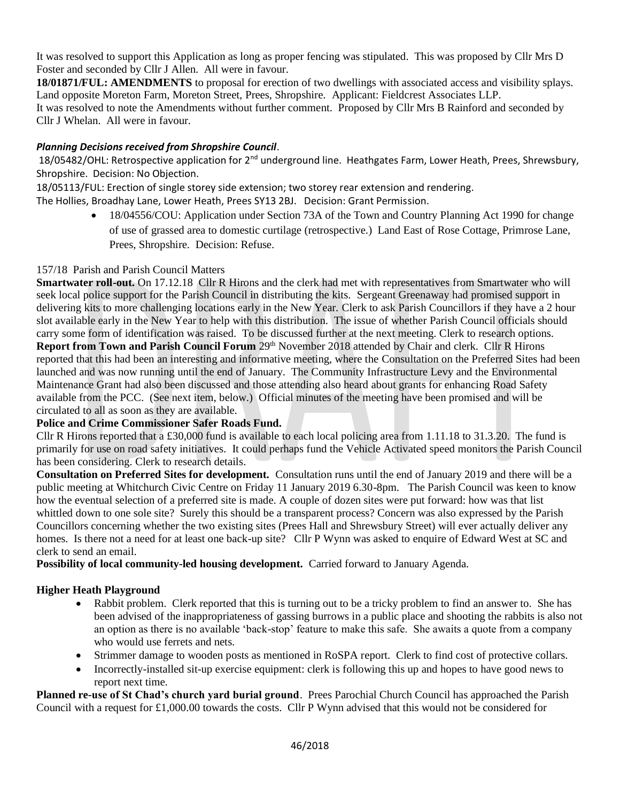It was resolved to support this Application as long as proper fencing was stipulated. This was proposed by Cllr Mrs D Foster and seconded by Cllr J Allen. All were in favour.

**18/01871/FUL: AMENDMENTS** to proposal for erection of two dwellings with associated access and visibility splays. Land opposite Moreton Farm, Moreton Street, Prees, Shropshire. Applicant: Fieldcrest Associates LLP. It was resolved to note the Amendments without further comment. Proposed by Cllr Mrs B Rainford and seconded by Cllr J Whelan. All were in favour.

# *Planning Decisions received from Shropshire Council*.

18/05482/OHL: Retrospective application for 2<sup>nd</sup> underground line. Heathgates Farm, Lower Heath, Prees, Shrewsbury, Shropshire. Decision: No Objection.

18/05113/FUL: Erection of single storey side extension; two storey rear extension and rendering.

The Hollies, Broadhay Lane, Lower Heath, Prees SY13 2BJ. Decision: Grant Permission.

• 18/04556/COU: Application under Section 73A of the Town and Country Planning Act 1990 for change of use of grassed area to domestic curtilage (retrospective.) Land East of Rose Cottage, Primrose Lane, Prees, Shropshire. Decision: Refuse.

## 157/18 Parish and Parish Council Matters

**Smartwater roll-out.** On 17.12.18 Cllr R Hirons and the clerk had met with representatives from Smartwater who will seek local police support for the Parish Council in distributing the kits. Sergeant Greenaway had promised support in delivering kits to more challenging locations early in the New Year. Clerk to ask Parish Councillors if they have a 2 hour slot available early in the New Year to help with this distribution. The issue of whether Parish Council officials should carry some form of identification was raised. To be discussed further at the next meeting. Clerk to research options. **Report from Town and Parish Council Forum** 29<sup>th</sup> November 2018 attended by Chair and clerk. Cllr R Hirons reported that this had been an interesting and informative meeting, where the Consultation on the Preferred Sites had been launched and was now running until the end of January. The Community Infrastructure Levy and the Environmental Maintenance Grant had also been discussed and those attending also heard about grants for enhancing Road Safety available from the PCC. (See next item, below.) Official minutes of the meeting have been promised and will be circulated to all as soon as they are available.

### **Police and Crime Commissioner Safer Roads Fund.**

Cllr R Hirons reported that a £30,000 fund is available to each local policing area from 1.11.18 to 31.3.20. The fund is primarily for use on road safety initiatives. It could perhaps fund the Vehicle Activated speed monitors the Parish Council has been considering. Clerk to research details.

**Consultation on Preferred Sites for development.** Consultation runs until the end of January 2019 and there will be a public meeting at Whitchurch Civic Centre on Friday 11 January 2019 6.30-8pm. The Parish Council was keen to know how the eventual selection of a preferred site is made. A couple of dozen sites were put forward: how was that list whittled down to one sole site? Surely this should be a transparent process? Concern was also expressed by the Parish Councillors concerning whether the two existing sites (Prees Hall and Shrewsbury Street) will ever actually deliver any homes. Is there not a need for at least one back-up site? Cllr P Wynn was asked to enquire of Edward West at SC and clerk to send an email.

**Possibility of local community-led housing development.** Carried forward to January Agenda.

# **Higher Heath Playground**

- Rabbit problem. Clerk reported that this is turning out to be a tricky problem to find an answer to. She has been advised of the inappropriateness of gassing burrows in a public place and shooting the rabbits is also not an option as there is no available 'back-stop' feature to make this safe. She awaits a quote from a company who would use ferrets and nets.
- Strimmer damage to wooden posts as mentioned in RoSPA report. Clerk to find cost of protective collars.
- Incorrectly-installed sit-up exercise equipment: clerk is following this up and hopes to have good news to report next time.

**Planned re-use of St Chad's church yard burial ground**. Prees Parochial Church Council has approached the Parish Council with a request for £1,000.00 towards the costs. Cllr P Wynn advised that this would not be considered for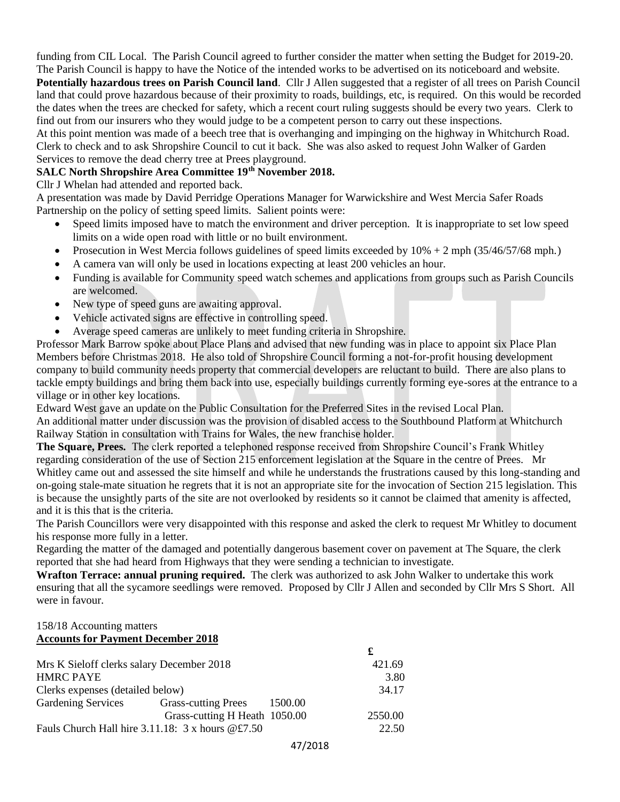funding from CIL Local. The Parish Council agreed to further consider the matter when setting the Budget for 2019-20. The Parish Council is happy to have the Notice of the intended works to be advertised on its noticeboard and website.

**Potentially hazardous trees on Parish Council land**. Cllr J Allen suggested that a register of all trees on Parish Council land that could prove hazardous because of their proximity to roads, buildings, etc, is required. On this would be recorded the dates when the trees are checked for safety, which a recent court ruling suggests should be every two years. Clerk to find out from our insurers who they would judge to be a competent person to carry out these inspections.

At this point mention was made of a beech tree that is overhanging and impinging on the highway in Whitchurch Road. Clerk to check and to ask Shropshire Council to cut it back. She was also asked to request John Walker of Garden Services to remove the dead cherry tree at Prees playground.

## **SALC North Shropshire Area Committee 19th November 2018.**

Cllr J Whelan had attended and reported back.

A presentation was made by David Perridge Operations Manager for Warwickshire and West Mercia Safer Roads Partnership on the policy of setting speed limits. Salient points were:

- Speed limits imposed have to match the environment and driver perception. It is inappropriate to set low speed limits on a wide open road with little or no built environment.
- Prosecution in West Mercia follows guidelines of speed limits exceeded by 10% + 2 mph (35/46/57/68 mph.)
- A camera van will only be used in locations expecting at least 200 vehicles an hour.
- Funding is available for Community speed watch schemes and applications from groups such as Parish Councils are welcomed.
- New type of speed guns are awaiting approval.
- Vehicle activated signs are effective in controlling speed.
- Average speed cameras are unlikely to meet funding criteria in Shropshire.

Professor Mark Barrow spoke about Place Plans and advised that new funding was in place to appoint six Place Plan Members before Christmas 2018. He also told of Shropshire Council forming a not-for-profit housing development company to build community needs property that commercial developers are reluctant to build. There are also plans to tackle empty buildings and bring them back into use, especially buildings currently forming eye-sores at the entrance to a village or in other key locations.

Edward West gave an update on the Public Consultation for the Preferred Sites in the revised Local Plan. An additional matter under discussion was the provision of disabled access to the Southbound Platform at Whitchurch Railway Station in consultation with Trains for Wales, the new franchise holder.

**The Square, Prees.** The clerk reported a telephoned response received from Shropshire Council's Frank Whitley regarding consideration of the use of Section 215 enforcement legislation at the Square in the centre of Prees. Mr Whitley came out and assessed the site himself and while he understands the frustrations caused by this long-standing and on-going stale-mate situation he regrets that it is not an appropriate site for the invocation of Section 215 legislation. This is because the unsightly parts of the site are not overlooked by residents so it cannot be claimed that amenity is affected, and it is this that is the criteria.

The Parish Councillors were very disappointed with this response and asked the clerk to request Mr Whitley to document his response more fully in a letter.

Regarding the matter of the damaged and potentially dangerous basement cover on pavement at The Square, the clerk reported that she had heard from Highways that they were sending a technician to investigate.

**Wrafton Terrace: annual pruning required.** The clerk was authorized to ask John Walker to undertake this work ensuring that all the sycamore seedlings were removed. Proposed by Cllr J Allen and seconded by Cllr Mrs S Short. All were in favour.

#### 158/18 Accounting matters **Accounts for Payment December 2018**

| Mrs K Sieloff clerks salary December 2018                 |                               | 421.69  |
|-----------------------------------------------------------|-------------------------------|---------|
| <b>HMRC PAYE</b>                                          |                               | 3.80    |
| Clerks expenses (detailed below)                          |                               | 34.17   |
| <b>Gardening Services</b>                                 | Grass-cutting Prees 1500.00   |         |
|                                                           | Grass-cutting H Heath 1050.00 | 2550.00 |
| Fauls Church Hall hire $3.11.18: 3 \times$ hours $@E7.50$ |                               | 22.50   |